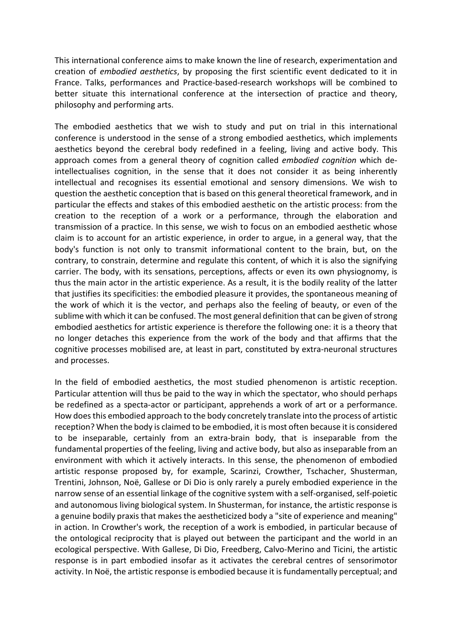This international conference aims to make known the line of research, experimentation and creation of *embodied aesthetics*, by proposing the first scientific event dedicated to it in France. Talks, performances and Practice-based-research workshops will be combined to better situate this international conference at the intersection of practice and theory, philosophy and performing arts.

The embodied aesthetics that we wish to study and put on trial in this international conference is understood in the sense of a strong embodied aesthetics, which implements aesthetics beyond the cerebral body redefined in a feeling, living and active body. This approach comes from a general theory of cognition called *embodied cognition* which deintellectualises cognition, in the sense that it does not consider it as being inherently intellectual and recognises its essential emotional and sensory dimensions. We wish to question the aesthetic conception that is based on this general theoretical framework, and in particular the effects and stakes of this embodied aesthetic on the artistic process: from the creation to the reception of a work or a performance, through the elaboration and transmission of a practice. In this sense, we wish to focus on an embodied aesthetic whose claim is to account for an artistic experience, in order to argue, in a general way, that the body's function is not only to transmit informational content to the brain, but, on the contrary, to constrain, determine and regulate this content, of which it is also the signifying carrier. The body, with its sensations, perceptions, affects or even its own physiognomy, is thus the main actor in the artistic experience. As a result, it is the bodily reality of the latter that justifies its specificities: the embodied pleasure it provides, the spontaneous meaning of the work of which it is the vector, and perhaps also the feeling of beauty, or even of the sublime with which it can be confused. The most general definition that can be given of strong embodied aesthetics for artistic experience is therefore the following one: it is a theory that no longer detaches this experience from the work of the body and that affirms that the cognitive processes mobilised are, at least in part, constituted by extra-neuronal structures and processes.

In the field of embodied aesthetics, the most studied phenomenon is artistic reception. Particular attention will thus be paid to the way in which the spectator, who should perhaps be redefined as a specta-actor or participant, apprehends a work of art or a performance. How does this embodied approach to the body concretely translate into the process of artistic reception? When the body is claimed to be embodied, it is most often because it is considered to be inseparable, certainly from an extra-brain body, that is inseparable from the fundamental properties of the feeling, living and active body, but also as inseparable from an environment with which it actively interacts. In this sense, the phenomenon of embodied artistic response proposed by, for example, Scarinzi, Crowther, Tschacher, Shusterman, Trentini, Johnson, Noë, Gallese or Di Dio is only rarely a purely embodied experience in the narrow sense of an essential linkage of the cognitive system with a self-organised, self-poietic and autonomous living biological system. In Shusterman, for instance, the artistic response is a genuine bodily praxis that makes the aestheticized body a "site of experience and meaning" in action. In Crowther's work, the reception of a work is embodied, in particular because of the ontological reciprocity that is played out between the participant and the world in an ecological perspective. With Gallese, Di Dio, Freedberg, Calvo-Merino and Ticini, the artistic response is in part embodied insofar as it activates the cerebral centres of sensorimotor activity. In Noë, the artistic response is embodied because it is fundamentally perceptual; and